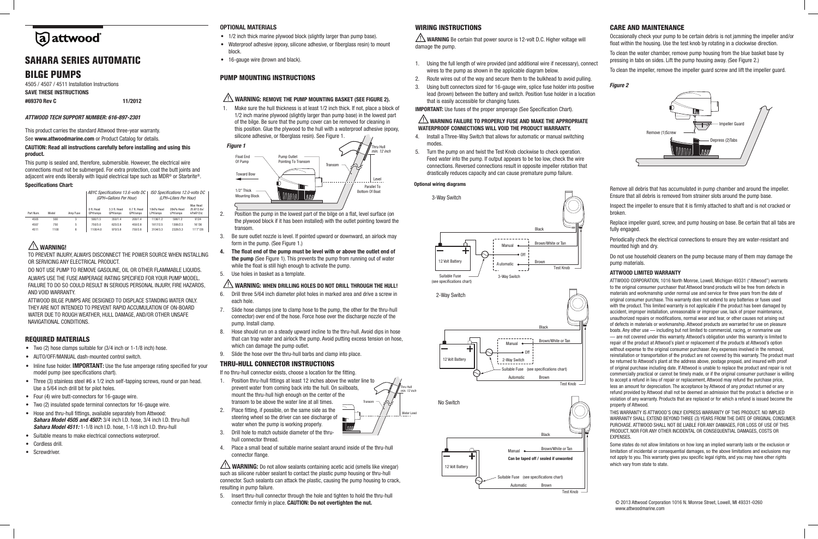### WIRING INSTRUCTIONS

#### $\overline{\mathbb{A}}$  warning failure to properly fuse and make the appropriate WATERPROOF CONNECTIONS WILL VOID THE PRODUCT WARRANTY.

- 
- 
- 
- lead (brown) between the battery and switch. Position fuse holder in a location that is easily accessible for changing fuses.

IMPORTANT: Use fuses of the proper amperage (See Specification Chart).

- 4. Install a Three-Way Switch that allows for automatic or manual switching modes.
- 5. Turn the pump on and twist the Test Knob clockwise to check operation. Feed water into the pump. If output appears to be too low, check the wire connections. Reversed connections result in opposite impeller rotation that drastically reduces capacity and can cause premature pump failure.

#### iring diagrams **Optional wiring diagrams**



Test Knob

Transom

 $\sqrt{M}$ 

 $\ldots$ 

# a) attwood

# Sahara Series Automatic Bilge Pumps

4505 / 4507 / 4511 Installation Instructions SAVE THESE INSTRUCTIONS #69370 Rev C 11/2012

#### *ATTWOOD TECH SUPPORT NUMBER: 616-897-2301*

This product carries the standard Attwood three-year warranty.

- the plywood block if it has been installed) with the outlet pointing toward the 2. Position the pump in the lowest part of the bilge on a flat, level surface (on  $\overline{ }$ transom. Mounting Block
- re outlet nozzle is level. If pointed upward or downward, an airlock may form in the pump. (See Figure 1.) amoon maj adhoom.<br>3. Be sure outlet nozzle is level. If pointed upward or downward, an airlock may
- 4. The float end of the pump must be level with or above the outlet end of the pump (See Figure 1). This prevents the pump from running out of water while the float is still high enough to activate the pump.
- 5. Use holes in basket as a template.

#### WARNING: WHEN DRILLING HOLES DO NOT DRILL THROUGH THE HULL! ining: WHE

See www.attwoodmarine.com or Product Catalog for details.

#### CAUTION: Read all instructions carefully before installing and using this product.

This pump is sealed and, therefore, submersible. However, the electrical wire connections must not be submerged. For extra protection, coat the butt joints and adiacent wire ends liberally with liquid electrical tape such as MDR<sup>®</sup> or Starbrite<sup>®</sup>. Specifications Chart:

- 6. Drill three 5/64 inch diameter pilot holes in marked area and drive a screw in each hole.
- ler rije disci end it is connector) over end of the hose. Force hose over the discharge nozzle of the pump. Install clamp. 7. Slide hose clamps (one to clamp hose to the pump, the other for the thru-hull  $\cdots$
- pamp, modal clamp.<br>8. Hose should run on a steady upward incline to the thru-hull. Avoid dips in hose These should fun on a steady appearant none to the thiu full. Avoid tips in hose that can trap water and airlock the pump. Avoid putting excess tension on hose, which can damage the pump outlet.
- 9. Slide the hose over the thru-hull barbs and clamp into place.

- 1. Position thru-hull fittings at least 12 inches above the water line to prevent water from coming back into the hull. On sailboats, mount the thru-hull high enough on the center of the transom to be above the water line at all times. Transom
- 2. Place fitting, if possible, on the same side as the steering wheel so the driver can see discharge of  $\blacksquare$ water when the pump is working properly.
- 3. Drill hole to match outside diameter of the thruhull connector thread.
- 4. Place a small bead of suitable marine sealant around inside of the thru-hull connector flange.

| <b>UPUUIIIUULIUIIU UIIUI LI</b> |       |          |                                                             |                          |                          |                                                           |                        |                                     |  |  |  |  |  |
|---------------------------------|-------|----------|-------------------------------------------------------------|--------------------------|--------------------------|-----------------------------------------------------------|------------------------|-------------------------------------|--|--|--|--|--|
|                                 |       |          | ABYC Specifications 13.6-volts DC<br>(GPH=Gallons Per Hour) |                          |                          | ISO Specifications 12.0-volts DC<br>(LPH=Liters Per Hour) |                        |                                     |  |  |  |  |  |
| Part Num.                       | Model | Amp Fuse | 0 ft. Head<br>GPH/amps                                      | 3.3 ft. Head<br>GPH/amps | 6.7 ft. Head<br>GPH/amps | 10kPa Head<br>LPH/amps                                    | 20kPa Head<br>LPH/amps | Max Head<br>(ft.@13.6v/<br>kPa@12v) |  |  |  |  |  |
| 4505                            | 500   | 3        | 500/1.5                                                     | 350/1.4                  | 200/1.4                  | 1136/1.2                                                  | 598/1.2                | 9'/24                               |  |  |  |  |  |
| 4507                            | 750   | 5        | 750/3.0                                                     | 625/2.8                  | 450/2.8                  | 1817/2.5                                                  | 1306/2.5               | 16'/36                              |  |  |  |  |  |
| 4511                            | 1100  | 6        | 1100/4.0                                                    | 970/3.8                  | 750/3.8                  | 3104/3.3                                                  | 2328/3.3               | 11'7"/28                            |  |  |  |  |  |
|                                 |       |          |                                                             |                          |                          |                                                           |                        |                                     |  |  |  |  |  |

## $\sqrt{N}$  WARNING!

WARNING: Do not allow sealants containing acetic acid (smells like vinegar) such as silicone rubber sealant to contact the plastic pump housing or thru-hull connector. Such sealants can attack the plastic, causing the pump housing to crack, resulting in pump failure.

TO PREVENT INJURY, ALWAYS DISCONNECT THE POWER SOURCE WHEN INSTALLING OR SERVICING ANY ELECTRICAL PRODUCT.

DO NOT USE PUMP TO REMOVE GASOLINE, OIL OR OTHER FLAMMABLE LIQUIDS. ALWAYS USE THE FUSE AMPERAGE RATING SPECIFIED FOR YOUR PUMP MODEL. FAILURE TO DO SO COULD RESULT IN SERIOUS PERSONAL INJURY, FIRE HAZARDS, AND VOID WARRANTY.

ATTWOOD BILGE PUMPS ARE DESIGNED TO DISPLACE STANDING WATER ONLY. THEY ARE NOT INTENDED TO PREVENT RAPID ACCUMULATION OF ON-BOARD WATER DUE TO ROUGH WEATHER, HULL DAMAGE, AND/OR OTHER UNSAFE NAVIGATIONAL CONDITIONS.

#### REQUIRED MATERIALS

- Two  $(2)$  hose clamps suitable for  $(3/4)$  inch or  $1-1/8$  inch) hose.
- • AUTO/OFF/MANUAL dash-mounted control switch.
- Inline fuse holder. **IMPORTANT:** Use the fuse amperage rating specified for your model pump (see specifications chart).
- Three (3) stainless steel #6 x 1/2 inch self-tapping screws, round or pan head. Use a 5/64 inch drill bit for pilot holes.
- Four (4) wire butt-connectors for 16-gauge wire.
- • Two (2) insulated spade terminal connectors for 16-gauge wire.
- Hose and thru-hull fittings, available separately from Attwood: *Sahara Model 4505 and 4507:* 3/4 inch I.D. hose, 3/4 inch I.D. thru-hull *Sahara Model 4511:* 1-1/8 inch I.D. hose, 1-1/8 inch I.D. thru-hull
- • Suitable means to make electrical connections waterproof.
- Cordless drill.
- Screwdriver.

Replace impeller guard, screw, and pump housing on base. Be certain that all tabs are fully engaged.

Do not use household cleaners on the pump because many of them may damage the pump materials.

#### OPTIONAL MATERIALS

- 1/2 inch thick marine plywood block (slightly larger than pump base).
- Waterproof adhesive (epoxy, silicone adhesive, or fiberglass resin) to mount block.
- 16-gauge wire (brown and black).

### PUMP MOUNTING INSTRUCTIONS

### $\bigwedge$  warning: remove the pump mounting basket (see Figure 2).

Some states do not allow limitations on how long an implied warranty lasts or the exclusion or limitation of incidental or consequential damages, so the above limitations and exclusions may not apply to you. This warranty gives you specific legal rights, and you may have other rights which vary from state to state.

1. Make sure the hull thickness is at least 1/2 inch thick. If not, place a block of 1/2 inch marine plywood (slightly larger than pump base) in the lowest part of the bilge. Be sure that the pump cover can be removed for cleaning in this position. Glue the plywood to the hull with a waterproof adhesive (epoxy, silicone adhesive, or fiberglass resin). See Figure 1.

**WARNING** Be certain that power source is 12-volt D.C. Higher voltage will damage the pump. 1. Using the full length of wire provided (and additional wire if necessary), connect wires to the pump as shown in the applicable diagram below. 2. Route wires out of the way and secure them to the bulkhead to avoid pulling. 3. Using butt connectors sized for 16-gauge wire, splice fuse holder into positive Occasionally check your pump to be certain debris is not jamming the impeller and/or 1/2" Thick float within the housing. Use the test knob by rotating in a clockwise direction. To clean the water chamber, remove pump housing from the blue basket base by pressing in tabs on sides. Lift the pump housing away. (See Figure 2.) To clean the impeller, remove the impeller guard screw and lift the impeller guard. check your pump to be certain debris is not jamming the impeller and *Figure 2*



#### THRU-HULL CONNECTOR INSTRUCTIONS

If no thru-hull connector exists, choose a location for the fitting.

5. Insert thru-hull connector through the hole and tighten to hold the thru-hull connector firmly in place. CAUTION: Do not overtighten the nut.

#### CARE AND MAINTENANCE



Remove all debris that has accumulated in pump chamber and around the impeller. Ensure that all debris is removed from strainer slots around the pump base.

Inspect the impeller to ensure that it is firmly attached to shaft and is not cracked or broken.

Periodically check the electrical connections to ensure they are water-resistant and mounted high and dry.

#### ATTWOOD LIMITED WARRANTY

ATTWOOD CORPORATION, 1016 North Monroe, Lowell, Michigan 49331 ("Attwood") warrants to the original consumer purchaser that Attwood brand products will be free from defects in materials and workmanship under normal use and service for three years from the date of original consumer purchase. This warranty does not extend to any batteries or fuses used with the product. This limited warranty is not applicable if the product has been damaged by accident, improper installation, unreasonable or improper use, lack of proper maintenance, unauthorized repairs or modifications, normal wear and tear, or other causes not arising out of defects in materials or workmanship. Attwood products are warranted for use on pleasure boats. Any other use — including but not limited to commercial, racing, or nonmarine use — are not covered under this warranty. Attwood's obligation under this warranty is limited to repair of the product at Attwood's plant or replacement of the products at Attwood's option without expense to the original consumer purchaser. Any expenses involved in the removal, reinstallation or transportation of the product are not covered by this warranty. The product must be returned to Attwood's plant at the address above, postage prepaid, and insured with proof of original purchase including date. If Attwood is unable to replace the product and repair is not commercially practical or cannot be timely made, or if the original consumer purchaser is willing to accept a refund in lieu of repair or replacement, Attwood may refund the purchase price, less an amount for depreciation. The acceptance by Attwood of any product returned or any refund provided by Attwood shall not be deemed an admission that the product is defective or in violation of any warranty. Products that are replaced or for which a refund is issued become the property of Attwood.

THIS WARRANTY IS ATTWOOD'S ONLY EXPRESS WARRANTY OF THIS PRODUCT. NO IMPLIED WARRANTY SHALL EXTEND BEYOND THREE (3) YEARS FROM THE DATE OF ORIGINAL CONSUMER PURCHASE. ATTWOOD SHALL NOT BE LIABLE FOR ANY DAMAGES, FOR LOSS OF USE OF THIS PRODUCT, NOR FOR ANY OTHER INCIDENTAL OR CONSEQUENTIAL DAMAGES, COSTS OR EXPENSES.

Water Level

*min. 12 inch* Thru Hull

 $\lambda$